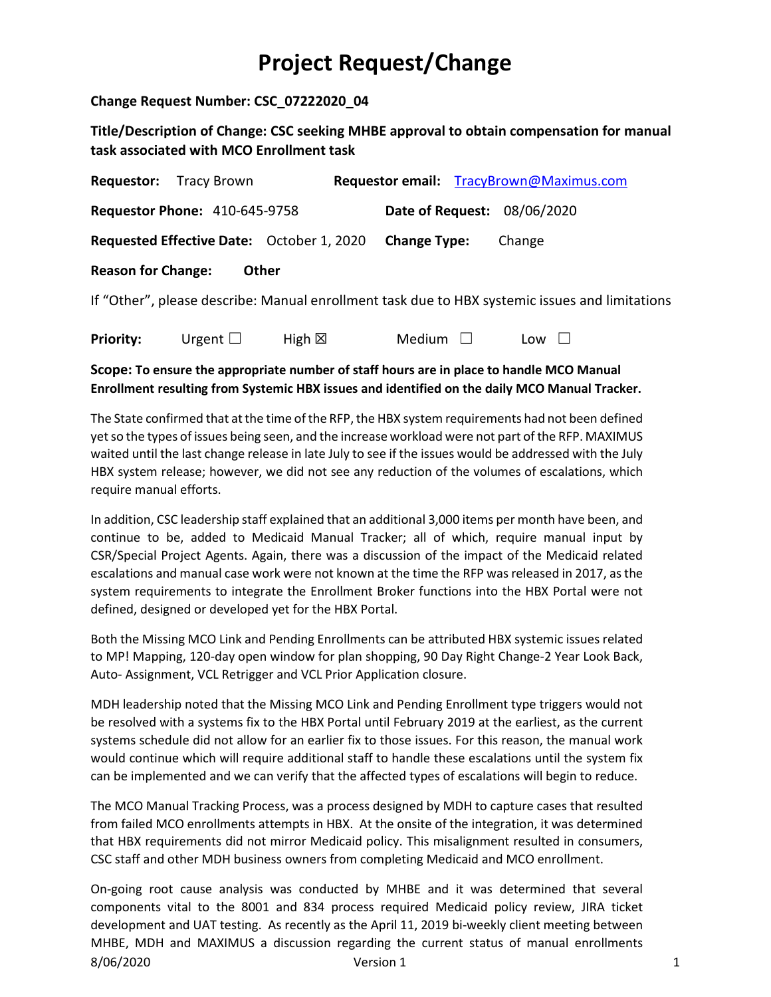**Change Request Number: CSC\_07222020\_04** 

**Title/Description of Change: CSC seeking MHBE approval to obtain compensation for manual task associated with MCO Enrollment task**

|                           | <b>Requestor:</b> Tracy Brown        |                                           |                             | Requestor email: TracyBrown@Maximus.com                                                        |
|---------------------------|--------------------------------------|-------------------------------------------|-----------------------------|------------------------------------------------------------------------------------------------|
|                           | <b>Requestor Phone: 410-645-9758</b> |                                           | Date of Request: 08/06/2020 |                                                                                                |
|                           |                                      | Requested Effective Date: October 1, 2020 | <b>Change Type:</b>         | Change                                                                                         |
| <b>Reason for Change:</b> |                                      | Other                                     |                             |                                                                                                |
|                           |                                      |                                           |                             | If "Other", please describe: Manual enrollment task due to HBX systemic issues and limitations |
| Priority:                 | Urgent $\square$                     | High $\boxtimes$                          | Medium $\Box$               | Low                                                                                            |

## **Scope: To ensure the appropriate number of staff hours are in place to handle MCO Manual Enrollment resulting from Systemic HBX issues and identified on the daily MCO Manual Tracker.**

The State confirmed that at the time of the RFP, the HBX system requirements had not been defined yet so the types of issues being seen, and the increase workload were not part of the RFP. MAXIMUS waited until the last change release in late July to see if the issues would be addressed with the July HBX system release; however, we did not see any reduction of the volumes of escalations, which require manual efforts.

In addition, CSC leadership staff explained that an additional 3,000 items per month have been, and continue to be, added to Medicaid Manual Tracker; all of which, require manual input by CSR/Special Project Agents. Again, there was a discussion of the impact of the Medicaid related escalations and manual case work were not known at the time the RFP was released in 2017, as the system requirements to integrate the Enrollment Broker functions into the HBX Portal were not defined, designed or developed yet for the HBX Portal.

Both the Missing MCO Link and Pending Enrollments can be attributed HBX systemic issues related to MP! Mapping, 120-day open window for plan shopping, 90 Day Right Change-2 Year Look Back, Auto- Assignment, VCL Retrigger and VCL Prior Application closure.

MDH leadership noted that the Missing MCO Link and Pending Enrollment type triggers would not be resolved with a systems fix to the HBX Portal until February 2019 at the earliest, as the current systems schedule did not allow for an earlier fix to those issues. For this reason, the manual work would continue which will require additional staff to handle these escalations until the system fix can be implemented and we can verify that the affected types of escalations will begin to reduce.

The MCO Manual Tracking Process, was a process designed by MDH to capture cases that resulted from failed MCO enrollments attempts in HBX. At the onsite of the integration, it was determined that HBX requirements did not mirror Medicaid policy. This misalignment resulted in consumers, CSC staff and other MDH business owners from completing Medicaid and MCO enrollment.

8/06/2020 Version 1 1 On-going root cause analysis was conducted by MHBE and it was determined that several components vital to the 8001 and 834 process required Medicaid policy review, JIRA ticket development and UAT testing. As recently as the April 11, 2019 bi-weekly client meeting between MHBE, MDH and MAXIMUS a discussion regarding the current status of manual enrollments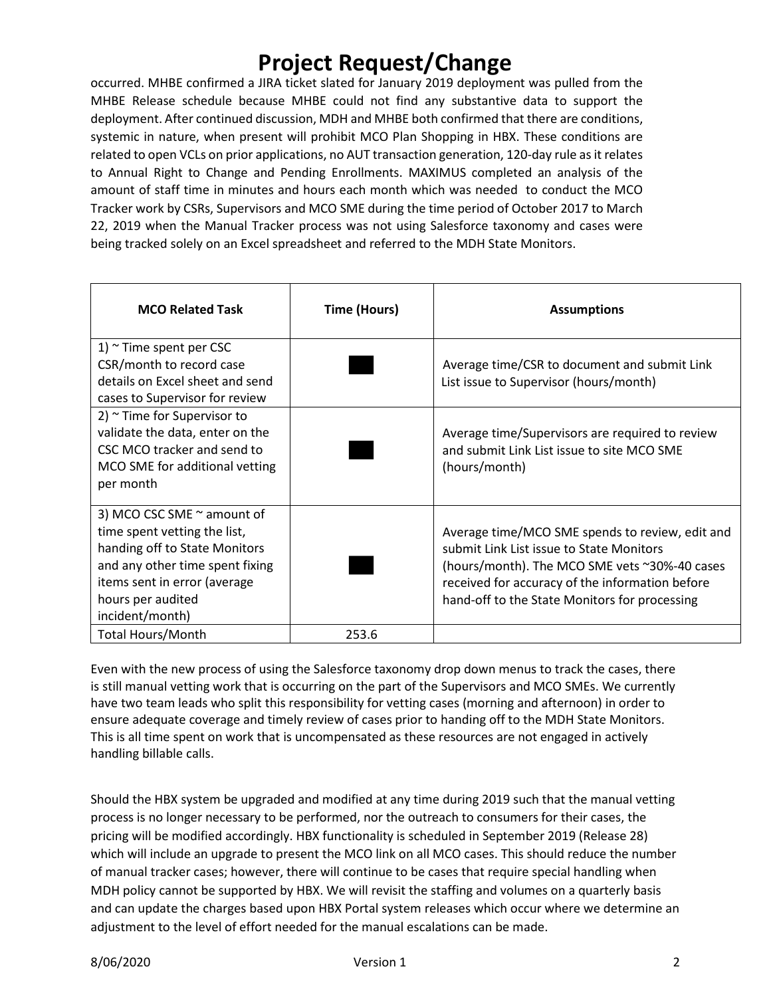occurred. MHBE confirmed a JIRA ticket slated for January 2019 deployment was pulled from the MHBE Release schedule because MHBE could not find any substantive data to support the deployment. After continued discussion, MDH and MHBE both confirmed that there are conditions, systemic in nature, when present will prohibit MCO Plan Shopping in HBX. These conditions are related to open VCLs on prior applications, no AUT transaction generation, 120-day rule as it relates to Annual Right to Change and Pending Enrollments. MAXIMUS completed an analysis of the amount of staff time in minutes and hours each month which was needed to conduct the MCO Tracker work by CSRs, Supervisors and MCO SME during the time period of October 2017 to March 22, 2019 when the Manual Tracker process was not using Salesforce taxonomy and cases were being tracked solely on an Excel spreadsheet and referred to the MDH State Monitors.

| <b>MCO Related Task</b>                                                                                                                                                                                     | <b>Time (Hours)</b> | <b>Assumptions</b>                                                                                                                                                                                                                               |
|-------------------------------------------------------------------------------------------------------------------------------------------------------------------------------------------------------------|---------------------|--------------------------------------------------------------------------------------------------------------------------------------------------------------------------------------------------------------------------------------------------|
| 1) $\sim$ Time spent per CSC<br>CSR/month to record case<br>details on Excel sheet and send<br>cases to Supervisor for review                                                                               |                     | Average time/CSR to document and submit Link<br>List issue to Supervisor (hours/month)                                                                                                                                                           |
| 2) $\sim$ Time for Supervisor to<br>validate the data, enter on the<br>CSC MCO tracker and send to<br>MCO SME for additional vetting<br>per month                                                           |                     | Average time/Supervisors are required to review<br>and submit Link List issue to site MCO SME<br>(hours/month)                                                                                                                                   |
| 3) MCO CSC SME $\sim$ amount of<br>time spent vetting the list,<br>handing off to State Monitors<br>and any other time spent fixing<br>items sent in error (average<br>hours per audited<br>incident/month) |                     | Average time/MCO SME spends to review, edit and<br>submit Link List issue to State Monitors<br>(hours/month). The MCO SME vets ~30%-40 cases<br>received for accuracy of the information before<br>hand-off to the State Monitors for processing |
| <b>Total Hours/Month</b>                                                                                                                                                                                    | 253.6               |                                                                                                                                                                                                                                                  |

Even with the new process of using the Salesforce taxonomy drop down menus to track the cases, there is still manual vetting work that is occurring on the part of the Supervisors and MCO SMEs. We currently have two team leads who split this responsibility for vetting cases (morning and afternoon) in order to ensure adequate coverage and timely review of cases prior to handing off to the MDH State Monitors. This is all time spent on work that is uncompensated as these resources are not engaged in actively handling billable calls.

Should the HBX system be upgraded and modified at any time during 2019 such that the manual vetting process is no longer necessary to be performed, nor the outreach to consumers for their cases, the pricing will be modified accordingly. HBX functionality is scheduled in September 2019 (Release 28) which will include an upgrade to present the MCO link on all MCO cases. This should reduce the number of manual tracker cases; however, there will continue to be cases that require special handling when MDH policy cannot be supported by HBX. We will revisit the staffing and volumes on a quarterly basis and can update the charges based upon HBX Portal system releases which occur where we determine an adjustment to the level of effort needed for the manual escalations can be made.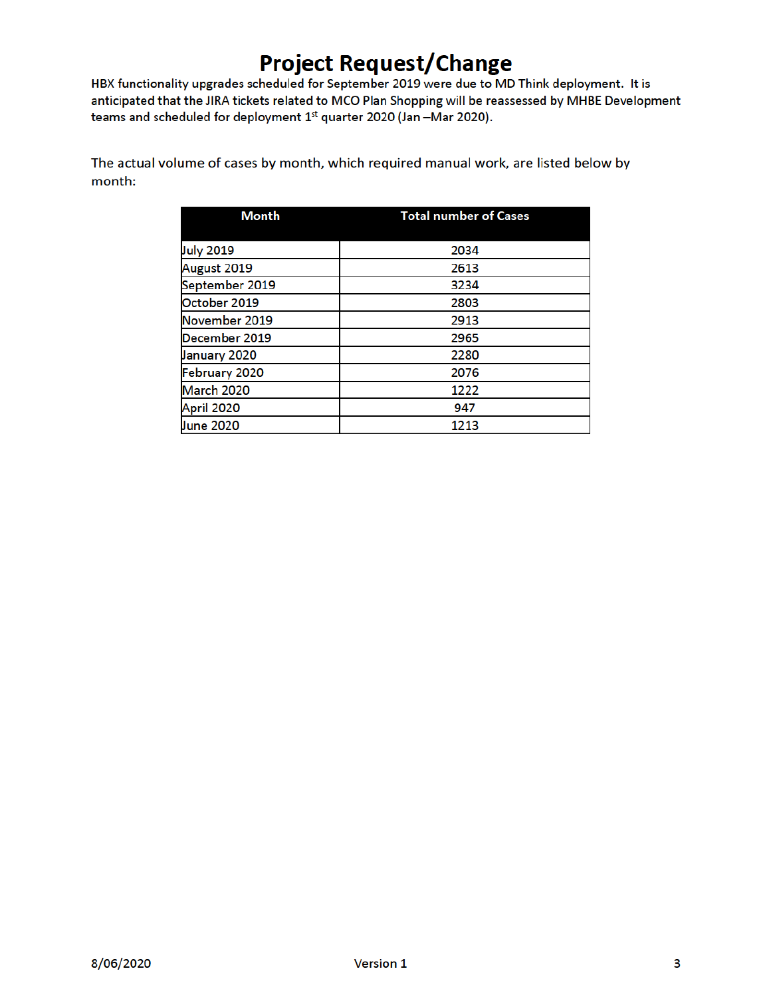HBX functionality upgrades scheduled for September 2019 were due to MD Think deployment. It is anticipated that the JIRA tickets related to MCO Plan Shopping will be reassessed by MHBE Development teams and scheduled for deployment 1st quarter 2020 (Jan -Mar 2020).

The actual volume of cases by month, which required manual work, are listed below by month:

| <b>Month</b>     | <b>Total number of Cases</b> |
|------------------|------------------------------|
|                  |                              |
| <b>July 2019</b> | 2034                         |
| August 2019      | 2613                         |
| September 2019   | 3234                         |
| October 2019     | 2803                         |
| November 2019    | 2913                         |
| December 2019    | 2965                         |
| January 2020     | 2280                         |
| February 2020    | 2076                         |
| March 2020       | 1222                         |
| April 2020       | 947                          |
| <b>June 2020</b> | 1213                         |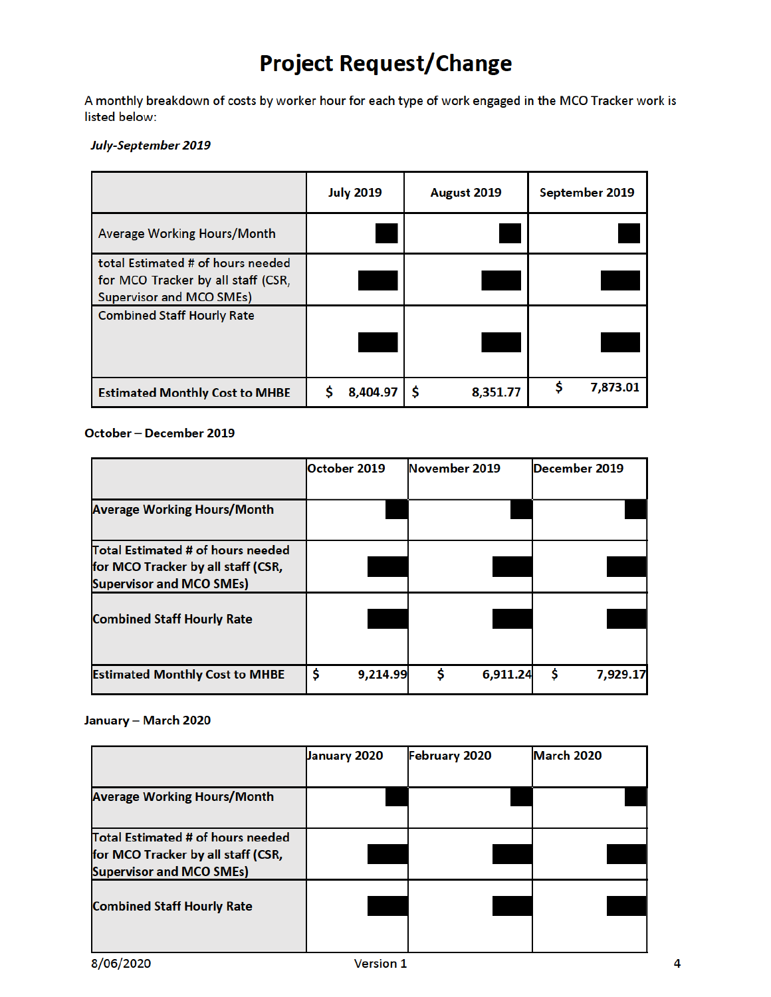A monthly breakdown of costs by worker hour for each type of work engaged in the MCO Tracker work is listed below:

#### July-September 2019

|                                                                                                            | <b>July 2019</b> | August 2019 | September 2019 |
|------------------------------------------------------------------------------------------------------------|------------------|-------------|----------------|
| Average Working Hours/Month                                                                                |                  |             |                |
| total Estimated # of hours needed<br>for MCO Tracker by all staff (CSR,<br><b>Supervisor and MCO SMEs)</b> |                  |             |                |
| <b>Combined Staff Hourly Rate</b>                                                                          |                  |             |                |
| <b>Estimated Monthly Cost to MHBE</b>                                                                      | 8,404.97         | 8,351.77    | 7,873.01       |

## October - December 2019

|                                                                                                            | October 2019   | November 2019 | December 2019  |
|------------------------------------------------------------------------------------------------------------|----------------|---------------|----------------|
| <b>Average Working Hours/Month</b>                                                                         |                |               |                |
| Total Estimated # of hours needed<br>for MCO Tracker by all staff (CSR,<br><b>Supervisor and MCO SMEs)</b> |                |               |                |
| <b>Combined Staff Hourly Rate</b>                                                                          |                |               |                |
| <b>Estimated Monthly Cost to MHBE</b>                                                                      | \$<br>9,214.99 | Ŝ<br>6,911.24 | \$<br>7,929.17 |

#### January - March 2020

|                                    | <b>January 2020</b> | <b>February 2020</b> | March 2020 |
|------------------------------------|---------------------|----------------------|------------|
|                                    |                     |                      |            |
| <b>Average Working Hours/Month</b> |                     |                      |            |
|                                    |                     |                      |            |
| Total Estimated # of hours needed  |                     |                      |            |
| for MCO Tracker by all staff (CSR, |                     |                      |            |
| <b>Supervisor and MCO SMEs)</b>    |                     |                      |            |
|                                    |                     |                      |            |
| <b>Combined Staff Hourly Rate</b>  |                     |                      |            |
|                                    |                     |                      |            |
|                                    |                     |                      |            |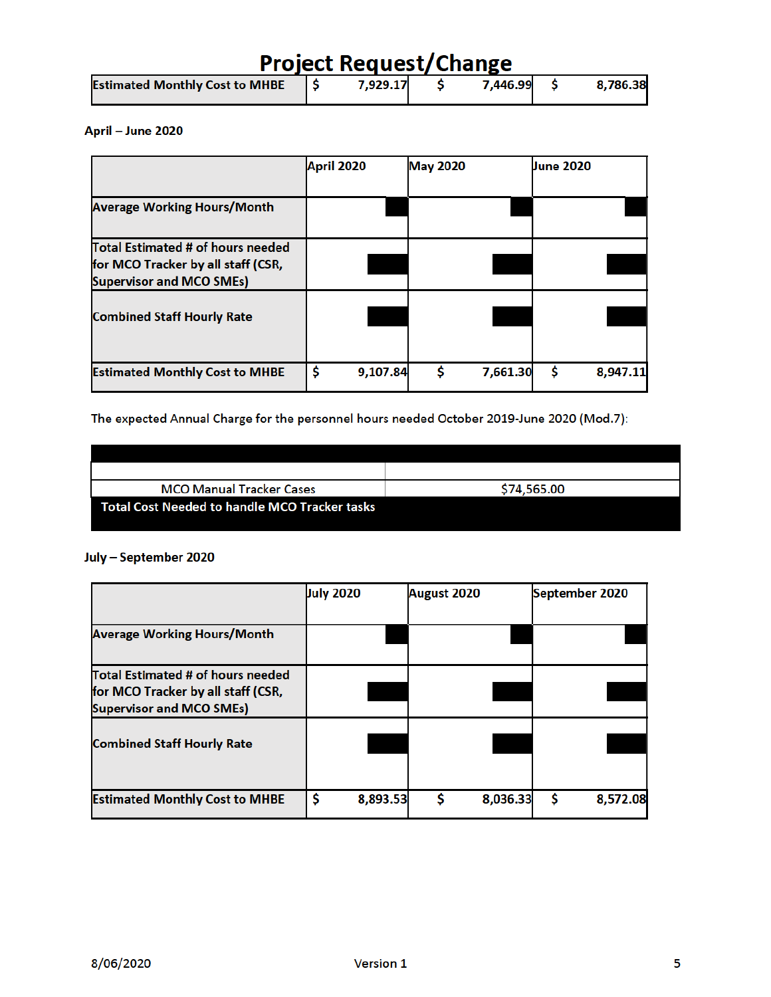| <b>Project Request/Change</b>         |  |          |  |          |  |          |
|---------------------------------------|--|----------|--|----------|--|----------|
| <b>Estimated Monthly Cost to MHBE</b> |  | 7,929.17 |  | 7,446.99 |  | 8,786.38 |

### April - June 2020

|                                                                                                            | April 2020 |          | <b>May 2020</b> |          | <b>June 2020</b> |          |
|------------------------------------------------------------------------------------------------------------|------------|----------|-----------------|----------|------------------|----------|
| <b>Average Working Hours/Month</b>                                                                         |            |          |                 |          |                  |          |
| Total Estimated # of hours needed<br>for MCO Tracker by all staff (CSR,<br><b>Supervisor and MCO SMEs)</b> |            |          |                 |          |                  |          |
| <b>Combined Staff Hourly Rate</b>                                                                          |            |          |                 |          |                  |          |
| <b>Estimated Monthly Cost to MHBE</b>                                                                      | \$         | 9,107.84 | S               | 7,661.30 | \$               | 8,947.11 |

The expected Annual Charge for the personnel hours needed October 2019-June 2020 (Mod.7):

| <b>MCO Manual Tracker Cases</b>               | \$74,565.00 |
|-----------------------------------------------|-------------|
| Total Cost Needed to handle MCO Tracker tasks |             |

### July - September 2020

|                                                                       | <b>July 2020</b> | August 2020   | September 2020 |
|-----------------------------------------------------------------------|------------------|---------------|----------------|
|                                                                       |                  |               |                |
| <b>Average Working Hours/Month</b>                                    |                  |               |                |
|                                                                       |                  |               |                |
| Total Estimated # of hours needed                                     |                  |               |                |
| for MCO Tracker by all staff (CSR,<br><b>Supervisor and MCO SMEs)</b> |                  |               |                |
|                                                                       |                  |               |                |
| <b>Combined Staff Hourly Rate</b>                                     |                  |               |                |
|                                                                       |                  |               |                |
| <b>Estimated Monthly Cost to MHBE</b>                                 | \$<br>8,893.53   | Ś<br>8,036.33 | \$<br>8,572.08 |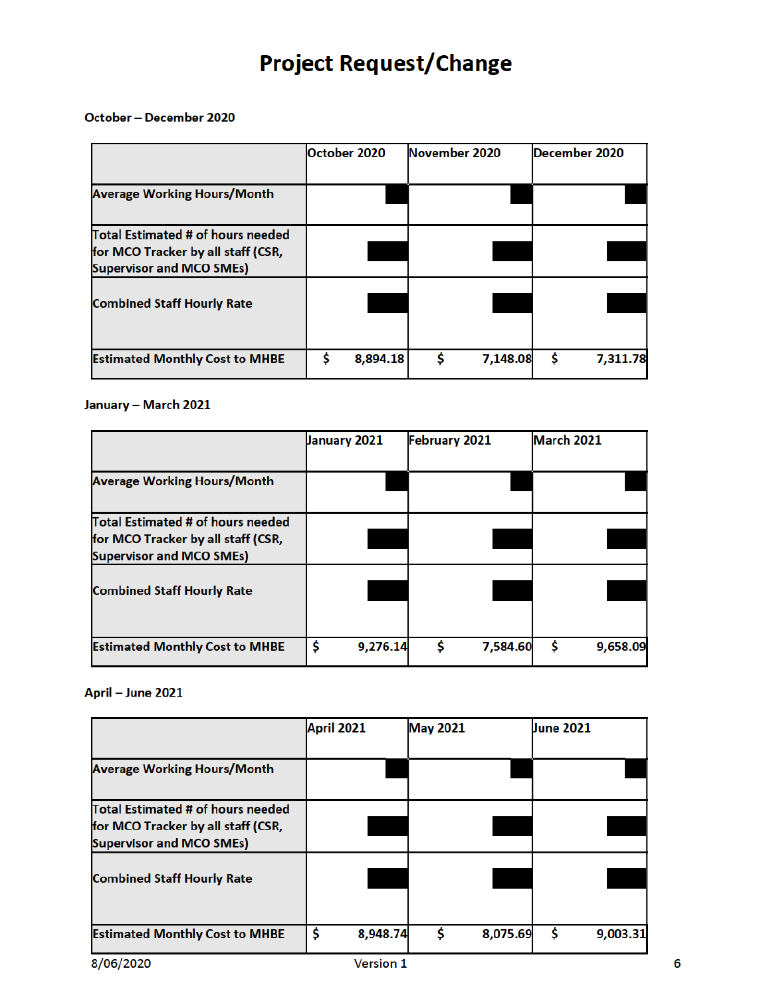#### October - December 2020

|                                                                                                            | lOctober 2020  | November 2020 |          | December 2020  |
|------------------------------------------------------------------------------------------------------------|----------------|---------------|----------|----------------|
| <b>Average Working Hours/Month</b>                                                                         |                |               |          |                |
| Total Estimated # of hours needed<br>for MCO Tracker by all staff (CSR,<br><b>Supervisor and MCO SMEs)</b> |                |               |          |                |
| <b>Combined Staff Hourly Rate</b>                                                                          |                |               |          |                |
| <b>Estimated Monthly Cost to MHBE</b>                                                                      | \$<br>8,894.18 |               | 7,148.08 | \$<br>7,311.78 |

## January - March 2021

|                                       | <b>January 2021</b> | February 2021 | March 2021     |
|---------------------------------------|---------------------|---------------|----------------|
|                                       |                     |               |                |
| <b>Average Working Hours/Month</b>    |                     |               |                |
|                                       |                     |               |                |
| Total Estimated # of hours needed     |                     |               |                |
| for MCO Tracker by all staff (CSR,    |                     |               |                |
| <b>Supervisor and MCO SMEs)</b>       |                     |               |                |
| <b>Combined Staff Hourly Rate</b>     |                     |               |                |
| <b>Estimated Monthly Cost to MHBE</b> | \$<br>9,276.14      | 7,584.60<br>s | \$<br>9,658.09 |

### April - June 2021

|                                       | April 2021     | <b>May 2021</b> |          | <b>June 2021</b> |          |
|---------------------------------------|----------------|-----------------|----------|------------------|----------|
|                                       |                |                 |          |                  |          |
| <b>Average Working Hours/Month</b>    |                |                 |          |                  |          |
|                                       |                |                 |          |                  |          |
| Total Estimated # of hours needed     |                |                 |          |                  |          |
| for MCO Tracker by all staff (CSR,    |                |                 |          |                  |          |
| <b>Supervisor and MCO SMEs)</b>       |                |                 |          |                  |          |
| <b>Combined Staff Hourly Rate</b>     |                |                 |          |                  |          |
|                                       |                |                 |          |                  |          |
|                                       |                |                 |          |                  |          |
| <b>Estimated Monthly Cost to MHBE</b> | \$<br>8,948.74 |                 | 8,075.69 | \$               | 9,003.31 |
| $-1 - -1 - - -$                       |                |                 |          |                  |          |